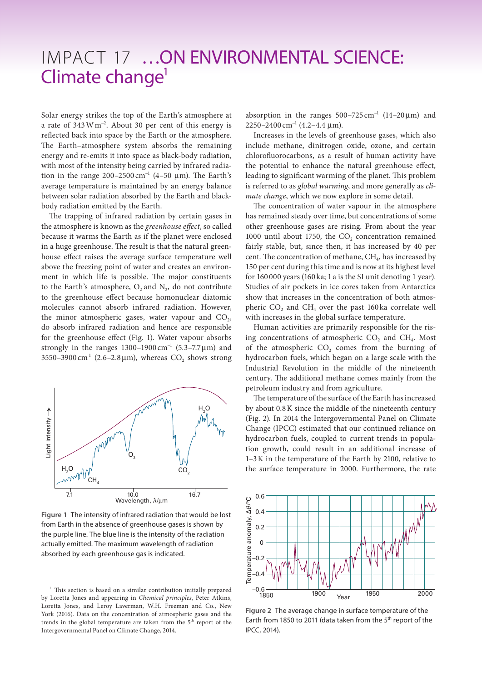## IMPACT 17 ...ON ENVIRONMENTAL SCIENCE: Climate change<sup>1</sup>

Solar energy strikes the top of the Earth's atmosphere at a rate of 343Wm<sup>−</sup><sup>2</sup> . About 30 per cent of this energy is reflected back into space by the Earth or the atmosphere. The Earth–atmosphere system absorbs the remaining energy and re-emits it into space as black-body radiation, with most of the intensity being carried by infrared radiation in the range  $200-2500 \text{ cm}^{-1}$  (4-50 µm). The Earth's average temperature is maintained by an energy balance between solar radiation absorbed by the Earth and blackbody radiation emitted by the Earth.

The trapping of infrared radiation by certain gases in the atmosphere is known as the *greenhouse effect*, so called because it warms the Earth as if the planet were enclosed in a huge greenhouse. The result is that the natural greenhouse effect raises the average surface temperature well above the freezing point of water and creates an environment in which life is possible. The major constituents to the Earth's atmosphere,  $O_2$  and  $N_2$ , do not contribute to the greenhouse effect because homonuclear diatomic molecules cannot absorb infrared radiation. However, the minor atmospheric gases, water vapour and  $CO<sub>2</sub>$ , do absorb infrared radiation and hence are responsible for the greenhouse effect (Fig. 1). Water vapour absorbs strongly in the ranges  $1300-1900 \text{ cm}^{-1}$  (5.3-7.7 µm) and 3550-3900 cm<sup>1</sup> (2.6-2.8  $\mu$ m), whereas CO<sub>2</sub> shows strong



**Figure 1** The intensity of infrared radiation that would be lost from Earth in the absence of greenhouse gases is shown by the purple line. The blue line is the intensity of the radiation actually emitted. The maximum wavelength of radiation absorbed by each greenhouse gas is indicated.

absorption in the ranges  $500-725$  cm<sup>-1</sup> (14-20 $\mu$ m) and 2250–2400 cm<sup>-1</sup> (4.2–4.4 μm).

Increases in the levels of greenhouse gases, which also include methane, dinitrogen oxide, ozone, and certain chlorofluorocarbons, as a result of human activity have the potential to enhance the natural greenhouse effect, leading to significant warming of the planet. This problem is referred to as *global warming*, and more generally as *climate change*, which we now explore in some detail.

The concentration of water vapour in the atmosphere has remained steady over time, but concentrations of some other greenhouse gases are rising. From about the year 1000 until about 1750, the CO<sub>2</sub> concentration remained fairly stable, but, since then, it has increased by 40 per cent. The concentration of methane, CH<sub>4</sub>, has increased by 150 per cent during this time and is now at its highest level for 160 000 years (160 ka; 1 a is the SI unit denoting 1 year). Studies of air pockets in ice cores taken from Antarctica show that increases in the concentration of both atmospheric  $CO<sub>2</sub>$  and  $CH<sub>4</sub>$  over the past 160 ka correlate well with increases in the global surface temperature.

Human activities are primarily responsible for the rising concentrations of atmospheric  $CO<sub>2</sub>$  and  $CH<sub>4</sub>$ . Most of the atmospheric  $CO<sub>2</sub>$  comes from the burning of hydrocarbon fuels, which began on a large scale with the Industrial Revolution in the middle of the nineteenth century. The additional methane comes mainly from the petroleum industry and from agriculture.

The temperature of the surface of the Earth has increased by about 0.8K since the middle of the nineteenth century (Fig. 2). In 2014 the Intergovernmental Panel on Climate Change (IPCC) estimated that our continued reliance on hydrocarbon fuels, coupled to current trends in population growth, could result in an additional increase of 1–3K in the temperature of the Earth by 2100, relative to the surface temperature in 2000. Furthermore, the rate



**Figure 2** The average change in surface temperature of the Earth from 1850 to 2011 (data taken from the  $5<sup>th</sup>$  report of the IPCC, 2014).

<sup>&</sup>lt;sup>1</sup> This section is based on a similar contribution initially prepared by Loretta Jones and appearing in *Chemical principles*, Peter Atkins, Loretta Jones, and Leroy Laverman, W.H. Freeman and Co., New York (2016). Data on the concentration of atmospheric gases and the trends in the global temperature are taken from the 5<sup>th</sup> report of the Intergovernmental Panel on Climate Change, 2014.